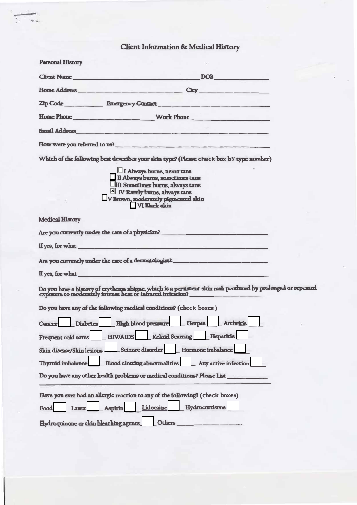## Client Information & Medical History

 $\overline{\mathbf{z}}$  is

| <b>Personal History</b>               |                                                                                                                                                                                                                                |
|---------------------------------------|--------------------------------------------------------------------------------------------------------------------------------------------------------------------------------------------------------------------------------|
|                                       | Client Name<br>DOB <b>DOB</b>                                                                                                                                                                                                  |
|                                       |                                                                                                                                                                                                                                |
|                                       | Zip Code Emergency Contact                                                                                                                                                                                                     |
|                                       |                                                                                                                                                                                                                                |
|                                       | Email Address and the contract of the contract of the contract of the contract of the contract of the contract of the contract of the contract of the contract of the contract of the contract of the contract of the contract |
|                                       | How were you referred to us?                                                                                                                                                                                                   |
|                                       | Which of the following best describes your skin type? (Please check box by type number)                                                                                                                                        |
|                                       | I Always burns, never tans                                                                                                                                                                                                     |
|                                       |                                                                                                                                                                                                                                |
|                                       | II Always burns, sometimes tans<br>III Sometimes burns, always tans<br>X IV Rarely burns, always tans                                                                                                                          |
|                                       |                                                                                                                                                                                                                                |
|                                       | V Brown, moderately pigmented skin                                                                                                                                                                                             |
|                                       | VI Rlack skin                                                                                                                                                                                                                  |
| <b>Medical History</b>                |                                                                                                                                                                                                                                |
|                                       |                                                                                                                                                                                                                                |
|                                       | If yes, for what the contract of the contract of the contract of the contract of the contract of the contract of the contract of the contract of the contract of the contract of the contract of the contract of the contract  |
|                                       | Are you currently under the care of a dermatologist? ___________________________                                                                                                                                               |
|                                       | If yes, for what the same state of the state of the state of the state of the state of the state of the state of the state of the state of the state of the state of the state of the state of the state of the state of the s |
|                                       | Do you have a history of erythema abigne, which is a persistent skin rash produced by prolonged or repeated                                                                                                                    |
|                                       | Do you have any of the following medical conditions? (check boxes)                                                                                                                                                             |
| <b>Cancer</b>                         | Diabetes High blood pressure Herpes Archritis                                                                                                                                                                                  |
| Frequent cold sores                   | <b>Keloid Scarring</b><br><b>Hepatiris</b><br><b>HIV/AIDS</b>                                                                                                                                                                  |
| Skin disease/Skin lesions             | Seizure disorder<br>Hormone imbalance                                                                                                                                                                                          |
| <b>Thyroid imbalance</b>              | <b>Blood clorring abnormalities</b><br>Any active infection                                                                                                                                                                    |
|                                       | Do you have any other health problems or medical conditions? Please List_                                                                                                                                                      |
|                                       | Have you ever had an allergic reaction to any of the following? (check boxes)                                                                                                                                                  |
| Food<br>Later                         | Hydrocortisone<br>Lidocaine<br><b>Aspirin</b>                                                                                                                                                                                  |
| Hydroquinone or skin bleaching agents | <b>Others</b>                                                                                                                                                                                                                  |